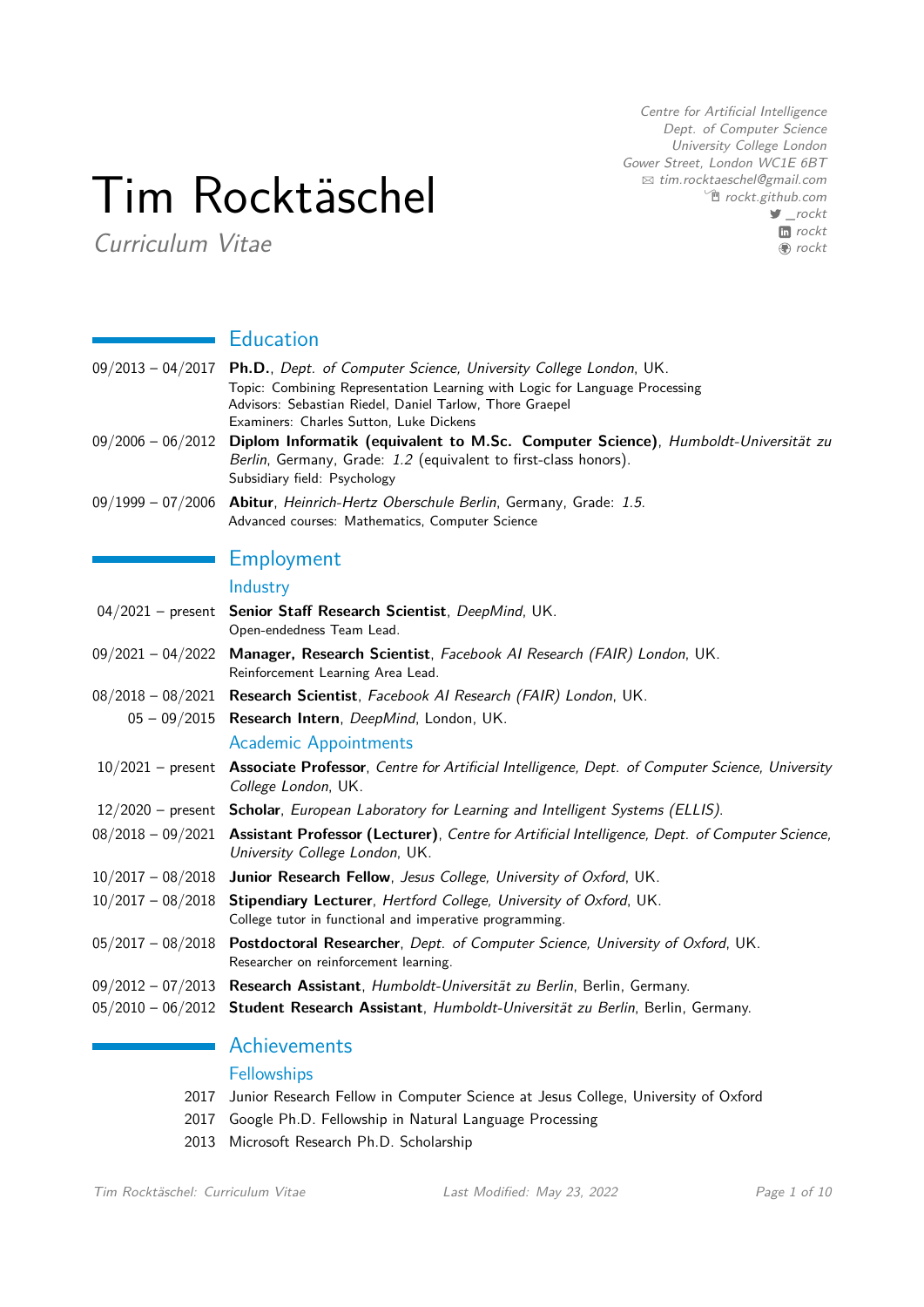# Tim Rocktäschel

Curriculum Vitae

Centre for Artificial Intelligence Dept. of Computer Science University College London Gower Street, London WC1E 6BT B [tim.rocktaeschel@gmail.com](mailto:tim.rocktaeschel@gmail.com)  $\hat{p}$  [rockt.github.com](http://rockt.github.com) [\\_rockt](http://www.twitter.com/\protect _rockt) **In** [rockt](http://www.linkedin.com/in/rockt) **●** [rockt](http://www.github.com/rockt)

# **Education**

| 09/2013 - 04/2017 Ph.D., Dept. of Computer Science, University College London, UK. |
|------------------------------------------------------------------------------------|
| Topic: Combining Representation Learning with Logic for Language Processing        |
| Advisors: Sebastian Riedel, Daniel Tarlow, Thore Graepel                           |
| Examiners: Charles Sutton. Luke Dickens                                            |

- 09/2006 06/2012 **Diplom Informatik (equivalent to M.Sc. Computer Science)**, Humboldt-Universität zu Berlin, Germany, Grade: 1.2 (equivalent to first-class honors). Subsidiary field: Psychology
- 09/1999 07/2006 **Abitur**, Heinrich-Hertz Oberschule Berlin, Germany, Grade: 1.5. Advanced courses: Mathematics, Computer Science

# Employment

## Industry

| 04/2021 - present Senior Staff Research Scientist, DeepMind, UK.<br>Open-endedness Team Lead.                                                      |
|----------------------------------------------------------------------------------------------------------------------------------------------------|
| 09/2021 - 04/2022 Manager, Research Scientist, Facebook Al Research (FAIR) London, UK.<br>Reinforcement Learning Area Lead.                        |
| 08/2018 - 08/2021 Research Scientist, Facebook Al Research (FAIR) London, UK.                                                                      |
| 05 - 09/2015 Research Intern, DeepMind, London, UK.                                                                                                |
| <b>Academic Appointments</b>                                                                                                                       |
| 10/2021 - present Associate Professor, Centre for Artificial Intelligence, Dept. of Computer Science, University<br>College London, UK.            |
| 12/2020 – present Scholar, European Laboratory for Learning and Intelligent Systems (ELLIS).                                                       |
| 08/2018 - 09/2021 Assistant Professor (Lecturer), Centre for Artificial Intelligence, Dept. of Computer Science,<br>University College London, UK. |
| 10/2017 - 08/2018 Junior Research Fellow, Jesus College, University of Oxford, UK.                                                                 |
| 10/2017 - 08/2018 Stipendiary Lecturer, Hertford College, University of Oxford, UK.<br>College tutor in functional and imperative programming.     |
| 05/2017 - 08/2018 Postdoctoral Researcher, Dept. of Computer Science, University of Oxford, UK.<br>Researcher on reinforcement learning.           |
| 09/2012 - 07/2013 Research Assistant, Humboldt-Universität zu Berlin, Berlin, Germany.                                                             |
| 05/2010 - 06/2012 Student Research Assistant, Humboldt-Universität zu Berlin, Berlin, Germany.                                                     |
|                                                                                                                                                    |

# Achievements

#### **Fellowships**

- 2017 Junior Research Fellow in Computer Science at Jesus College, University of Oxford
- 2017 Google Ph.D. Fellowship in Natural Language Processing
- 2013 Microsoft Research Ph.D. Scholarship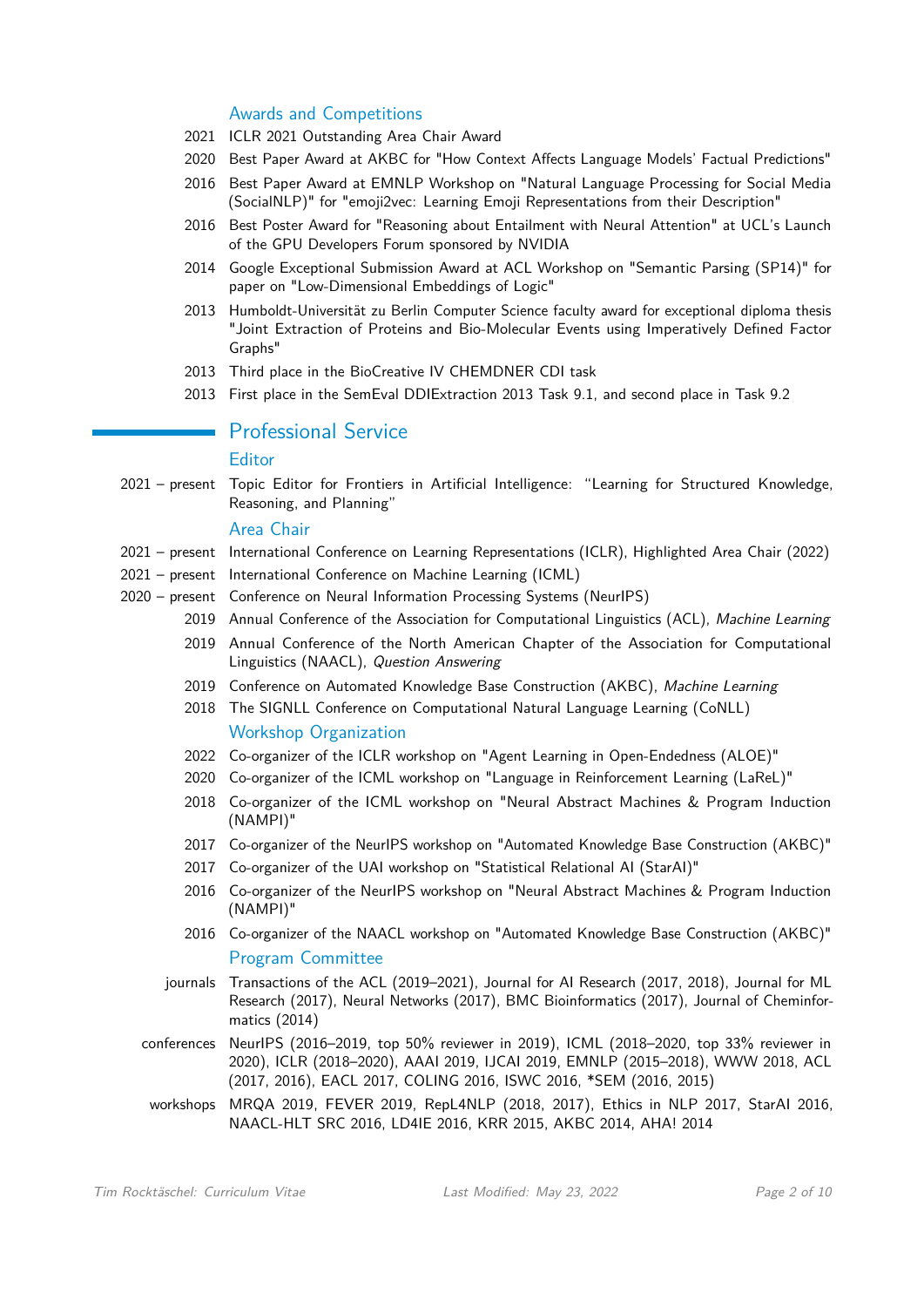#### Awards and Competitions

- 2021 ICLR 2021 Outstanding Area Chair Award
- 2020 Best Paper Award at AKBC for "How Context Affects Language Models' Factual Predictions"
- 2016 Best Paper Award at EMNLP Workshop on "Natural Language Processing for Social Media (SocialNLP)" for "emoji2vec: Learning Emoji Representations from their Description"
- 2016 Best Poster Award for "Reasoning about Entailment with Neural Attention" at UCL's Launch of the GPU Developers Forum sponsored by NVIDIA
- 2014 Google Exceptional Submission Award at ACL Workshop on "Semantic Parsing (SP14)" for paper on "Low-Dimensional Embeddings of Logic"
- 2013 Humboldt-Universität zu Berlin Computer Science faculty award for exceptional diploma thesis "Joint Extraction of Proteins and Bio-Molecular Events using Imperatively Defined Factor Graphs"
- 2013 Third place in the BioCreative IV CHEMDNER CDI task
- 2013 First place in the SemEval DDIExtraction 2013 Task 9.1, and second place in Task 9.2

## **Professional Service**

#### **Editor**

2021 – present Topic Editor for Frontiers in Artificial Intelligence: "Learning for Structured Knowledge, Reasoning, and Planning"

#### Area Chair

- 2021 present International Conference on Learning Representations (ICLR), Highlighted Area Chair (2022)
- 2021 present International Conference on Machine Learning (ICML)
- 2020 present Conference on Neural Information Processing Systems (NeurIPS)
	- 2019 Annual Conference of the Association for Computational Linguistics (ACL), Machine Learning
	- 2019 Annual Conference of the North American Chapter of the Association for Computational Linguistics (NAACL), Question Answering
	- 2019 Conference on Automated Knowledge Base Construction (AKBC), Machine Learning
	- 2018 The SIGNLL Conference on Computational Natural Language Learning (CoNLL) Workshop Organization
	- 2022 Co-organizer of the ICLR workshop on "Agent Learning in Open-Endedness (ALOE)"
	- 2020 Co-organizer of the ICML workshop on "Language in Reinforcement Learning (LaReL)"
	- 2018 Co-organizer of the ICML workshop on "Neural Abstract Machines & Program Induction (NAMPI)"
	- 2017 Co-organizer of the NeurIPS workshop on "Automated Knowledge Base Construction (AKBC)"
	- 2017 Co-organizer of the UAI workshop on "Statistical Relational AI (StarAI)"
	- 2016 Co-organizer of the NeurIPS workshop on "Neural Abstract Machines & Program Induction (NAMPI)"
	- 2016 Co-organizer of the NAACL workshop on "Automated Knowledge Base Construction (AKBC)" Program Committee
	- journals Transactions of the ACL (2019–2021), Journal for AI Research (2017, 2018), Journal for ML Research (2017), Neural Networks (2017), BMC Bioinformatics (2017), Journal of Cheminformatics (2014)
	- conferences NeurIPS (2016–2019, top 50% reviewer in 2019), ICML (2018–2020, top 33% reviewer in 2020), ICLR (2018–2020), AAAI 2019, IJCAI 2019, EMNLP (2015–2018), WWW 2018, ACL (2017, 2016), EACL 2017, COLING 2016, ISWC 2016, \*SEM (2016, 2015)
	- workshops MRQA 2019, FEVER 2019, RepL4NLP (2018, 2017), Ethics in NLP 2017, StarAI 2016, NAACL-HLT SRC 2016, LD4IE 2016, KRR 2015, AKBC 2014, AHA! 2014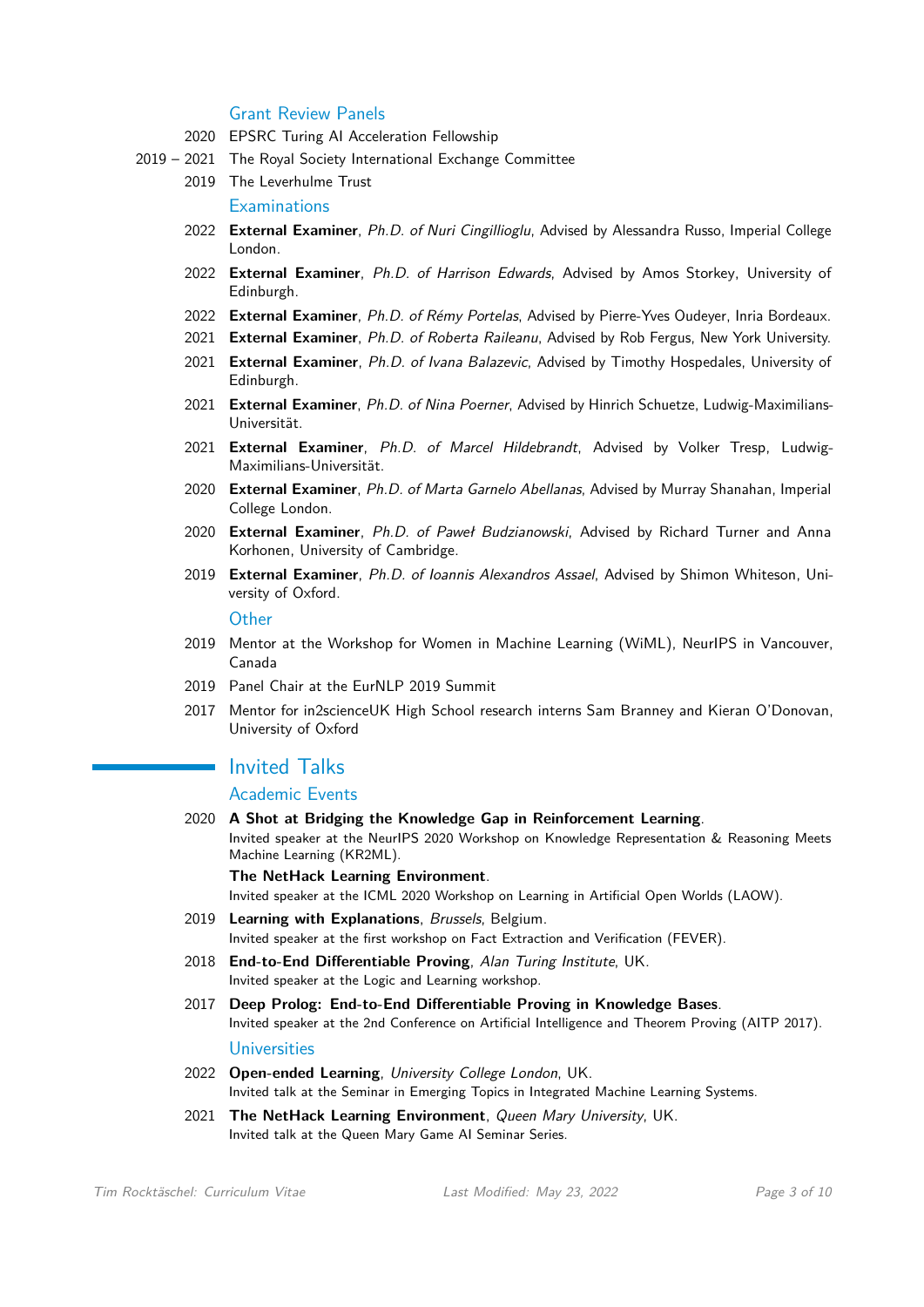#### Grant Review Panels

- 2020 EPSRC Turing AI Acceleration Fellowship
- 2019 2021 The Royal Society International Exchange Committee
- 2019 The Leverhulme Trust

**Examinations** 

- 2022 **External Examiner**, Ph.D. of Nuri Cingillioglu, Advised by Alessandra Russo, Imperial College London.
- 2022 **External Examiner**, Ph.D. of Harrison Edwards, Advised by Amos Storkey, University of Edinburgh.
- 2022 **External Examiner**, Ph.D. of Rémy Portelas, Advised by Pierre-Yves Oudeyer, Inria Bordeaux.
- 2021 **External Examiner**, Ph.D. of Roberta Raileanu, Advised by Rob Fergus, New York University.
- 2021 **External Examiner**, Ph.D. of Ivana Balazevic, Advised by Timothy Hospedales, University of Edinburgh.
- 2021 **External Examiner**, Ph.D. of Nina Poerner, Advised by Hinrich Schuetze, Ludwig-Maximilians-Universität.
- 2021 **External Examiner**, Ph.D. of Marcel Hildebrandt, Advised by Volker Tresp, Ludwig-Maximilians-Universität.
- 2020 **External Examiner**, Ph.D. of Marta Garnelo Abellanas, Advised by Murray Shanahan, Imperial College London.
- 2020 **External Examiner**, Ph.D. of Paweł Budzianowski, Advised by Richard Turner and Anna Korhonen, University of Cambridge.
- 2019 **External Examiner**, Ph.D. of Ioannis Alexandros Assael, Advised by Shimon Whiteson, University of Oxford.

**Other** 

- 2019 Mentor at the Workshop for Women in Machine Learning (WiML), NeurIPS in Vancouver, Canada
- 2019 Panel Chair at the EurNLP 2019 Summit
- 2017 Mentor for in2scienceUK High School research interns Sam Branney and Kieran O'Donovan, University of Oxford

## **I** Invited Talks

## Academic Events

2020 **A Shot at Bridging the Knowledge Gap in Reinforcement Learning**. Invited speaker at the NeurIPS 2020 Workshop on Knowledge Representation & Reasoning Meets Machine Learning (KR2ML).

**The NetHack Learning Environment**.

Invited speaker at the ICML 2020 Workshop on Learning in Artificial Open Worlds (LAOW).

- 2019 **Learning with Explanations**, Brussels, Belgium. Invited speaker at the first workshop on Fact Extraction and Verification (FEVER).
- 2018 **End-to-End Differentiable Proving**, Alan Turing Institute, UK. Invited speaker at the Logic and Learning workshop.
- 2017 **Deep Prolog: End-to-End Differentiable Proving in Knowledge Bases**. Invited speaker at the 2nd Conference on Artificial Intelligence and Theorem Proving (AITP 2017). Universities
- 2022 **Open-ended Learning**, University College London, UK. Invited talk at the Seminar in Emerging Topics in Integrated Machine Learning Systems.
- 2021 **The NetHack Learning Environment**, Queen Mary University, UK. Invited talk at the Queen Mary Game AI Seminar Series.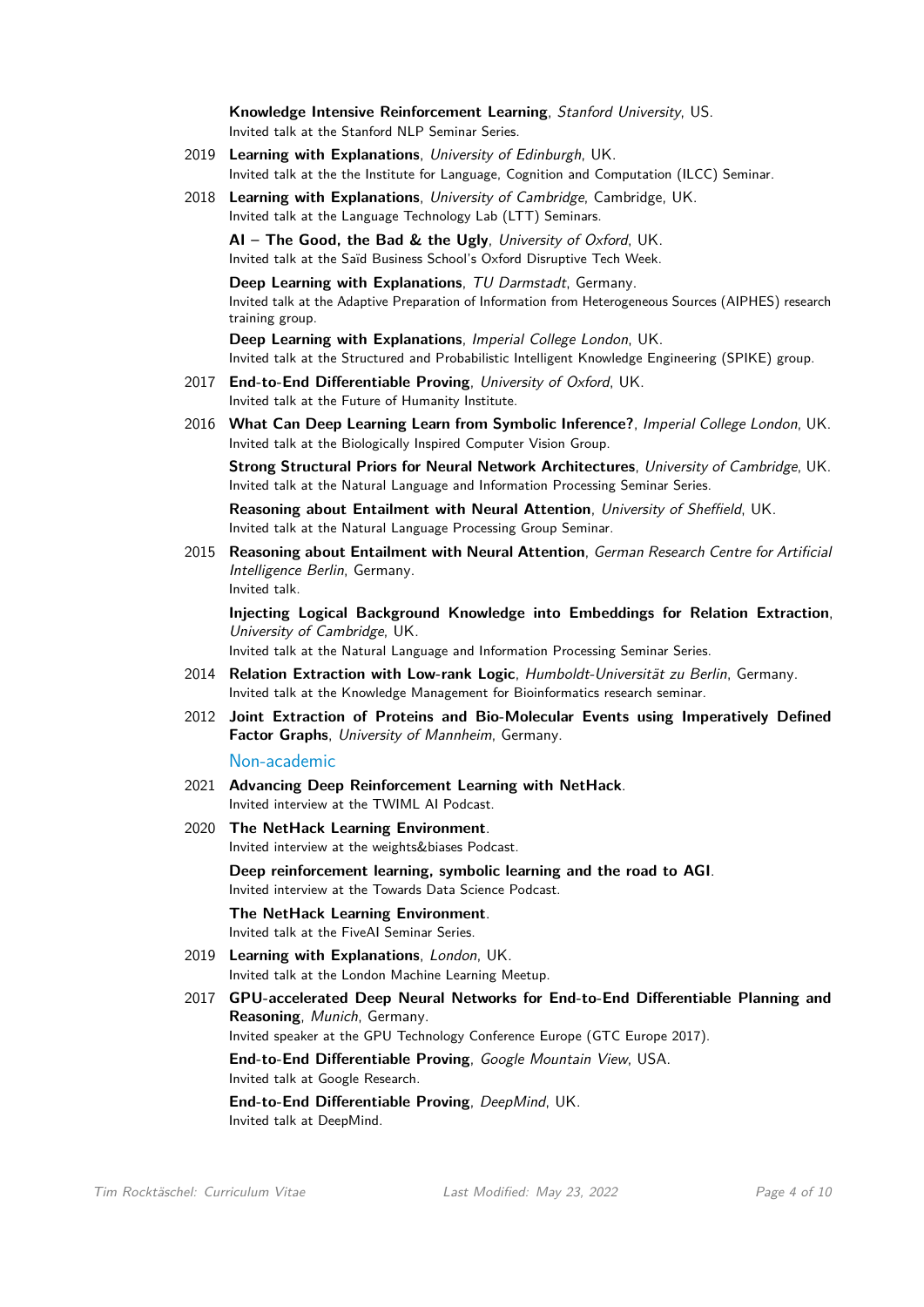**Knowledge Intensive Reinforcement Learning**, Stanford University, US. Invited talk at the Stanford NLP Seminar Series.

- 2019 **Learning with Explanations**, University of Edinburgh, UK. Invited talk at the the Institute for Language, Cognition and Computation (ILCC) Seminar.
- 2018 **Learning with Explanations**, University of Cambridge, Cambridge, UK. Invited talk at the Language Technology Lab (LTT) Seminars.

**AI – The Good, the Bad & the Ugly**, University of Oxford, UK. Invited talk at the Saïd Business School's Oxford Disruptive Tech Week.

**Deep Learning with Explanations**, TU Darmstadt, Germany. Invited talk at the Adaptive Preparation of Information from Heterogeneous Sources (AIPHES) research training group.

**Deep Learning with Explanations**, Imperial College London, UK. Invited talk at the Structured and Probabilistic Intelligent Knowledge Engineering (SPIKE) group.

- 2017 **End-to-End Differentiable Proving**, University of Oxford, UK. Invited talk at the Future of Humanity Institute.
- 2016 **What Can Deep Learning Learn from Symbolic Inference?**, Imperial College London, UK. Invited talk at the Biologically Inspired Computer Vision Group.

**Strong Structural Priors for Neural Network Architectures**, University of Cambridge, UK. Invited talk at the Natural Language and Information Processing Seminar Series.

**Reasoning about Entailment with Neural Attention**, University of Sheffield, UK. Invited talk at the Natural Language Processing Group Seminar.

2015 **Reasoning about Entailment with Neural Attention**, German Research Centre for Artificial Intelligence Berlin, Germany. Invited talk.

**Injecting Logical Background Knowledge into Embeddings for Relation Extraction**, University of Cambridge, UK.

Invited talk at the Natural Language and Information Processing Seminar Series.

- 2014 **Relation Extraction with Low-rank Logic**, Humboldt-Universität zu Berlin, Germany. Invited talk at the Knowledge Management for Bioinformatics research seminar.
- 2012 **Joint Extraction of Proteins and Bio-Molecular Events using Imperatively Defined Factor Graphs**, University of Mannheim, Germany.

Non-academic

- 2021 **Advancing Deep Reinforcement Learning with NetHack**. Invited interview at the TWIML AI Podcast.
- 2020 **The NetHack Learning Environment**. Invited interview at the weights&biases Podcast.

**Deep reinforcement learning, symbolic learning and the road to AGI**. Invited interview at the Towards Data Science Podcast.

- **The NetHack Learning Environment**. Invited talk at the FiveAI Seminar Series.
- 2019 **Learning with Explanations**, London, UK. Invited talk at the London Machine Learning Meetup.
- 2017 **GPU-accelerated Deep Neural Networks for End-to-End Differentiable Planning and Reasoning**, Munich, Germany.

Invited speaker at the GPU Technology Conference Europe (GTC Europe 2017).

**End-to-End Differentiable Proving**, Google Mountain View, USA. Invited talk at Google Research.

**End-to-End Differentiable Proving**, DeepMind, UK. Invited talk at DeepMind.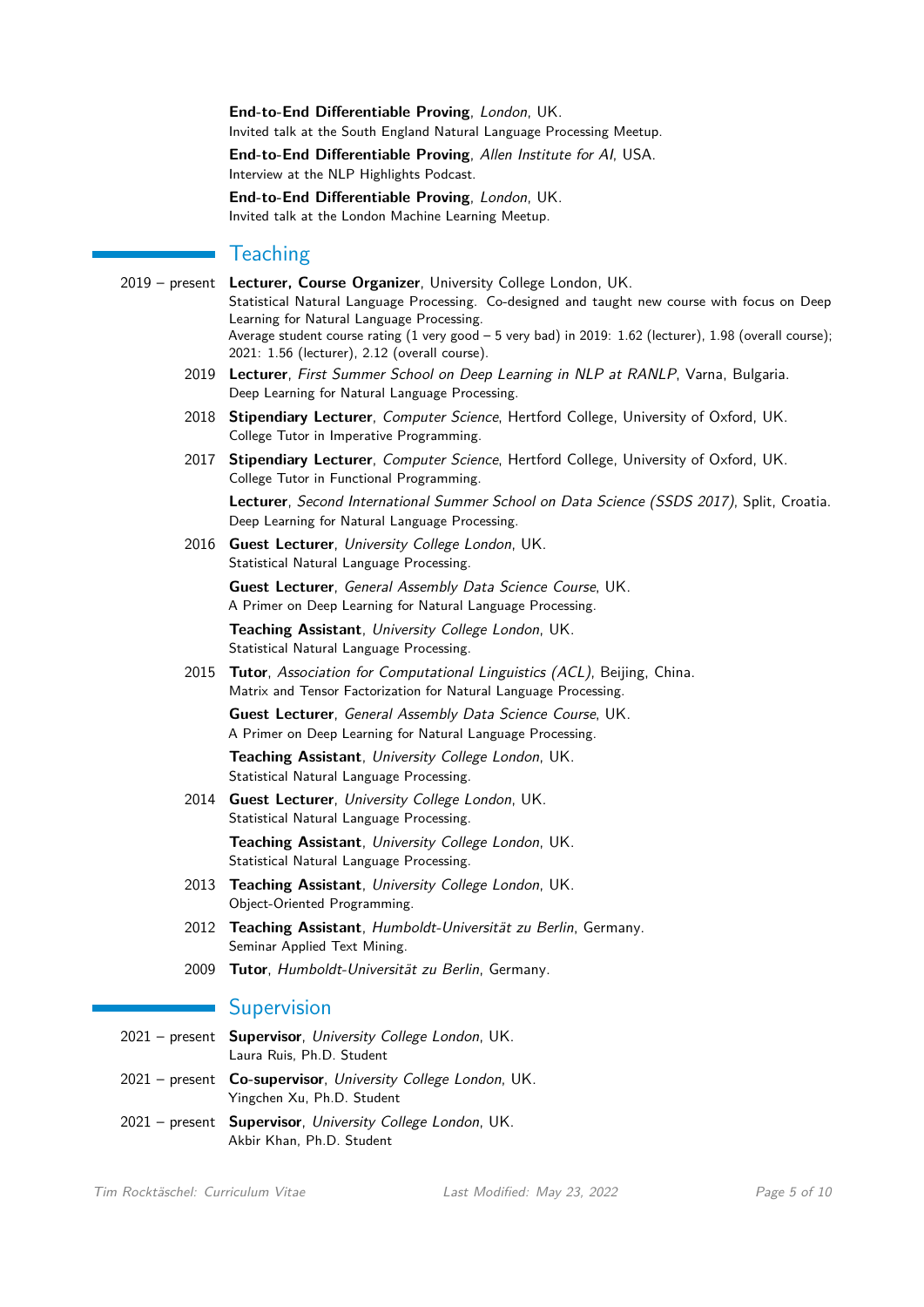**End-to-End Differentiable Proving**, London, UK. Invited talk at the South England Natural Language Processing Meetup.

**End-to-End Differentiable Proving**, Allen Institute for AI, USA. Interview at the NLP Highlights Podcast.

**End-to-End Differentiable Proving**, London, UK. Invited talk at the London Machine Learning Meetup.

## **Teaching**

- 2019 present **Lecturer, Course Organizer**, University College London, UK. Statistical Natural Language Processing. Co-designed and taught new course with focus on Deep Learning for Natural Language Processing. Average student course rating (1 very good – 5 very bad) in 2019: 1.62 (lecturer), 1.98 (overall course); 2021: 1.56 (lecturer), 2.12 (overall course).
	- 2019 **Lecturer**, First Summer School on Deep Learning in NLP at RANLP, Varna, Bulgaria. Deep Learning for Natural Language Processing.
	- 2018 **Stipendiary Lecturer**, Computer Science, Hertford College, University of Oxford, UK. College Tutor in Imperative Programming.
	- 2017 **Stipendiary Lecturer**, Computer Science, Hertford College, University of Oxford, UK. College Tutor in Functional Programming.

**Lecturer**, Second International Summer School on Data Science (SSDS 2017), Split, Croatia. Deep Learning for Natural Language Processing.

2016 **Guest Lecturer**, University College London, UK. Statistical Natural Language Processing.

> **Guest Lecturer**, General Assembly Data Science Course, UK. A Primer on Deep Learning for Natural Language Processing. **Teaching Assistant**, University College London, UK. Statistical Natural Language Processing.

2015 **Tutor**, Association for Computational Linguistics (ACL), Beijing, China. Matrix and Tensor Factorization for Natural Language Processing. **Guest Lecturer**, General Assembly Data Science Course, UK.

A Primer on Deep Learning for Natural Language Processing.

**Teaching Assistant**, University College London, UK. Statistical Natural Language Processing.

2014 **Guest Lecturer**, University College London, UK. Statistical Natural Language Processing.

**Teaching Assistant**, University College London, UK. Statistical Natural Language Processing.

- 2013 **Teaching Assistant**, University College London, UK. Object-Oriented Programming.
- 2012 **Teaching Assistant**, Humboldt-Universität zu Berlin, Germany. Seminar Applied Text Mining.
- 2009 **Tutor**, Humboldt-Universität zu Berlin, Germany.

## **Supervision**

- 2021 present **Supervisor**, University College London, UK. Laura Ruis, Ph.D. Student 2021 – present **Co-supervisor**, University College London, UK. Yingchen Xu, Ph.D. Student
- 2021 present **Supervisor**, University College London, UK. Akbir Khan, Ph.D. Student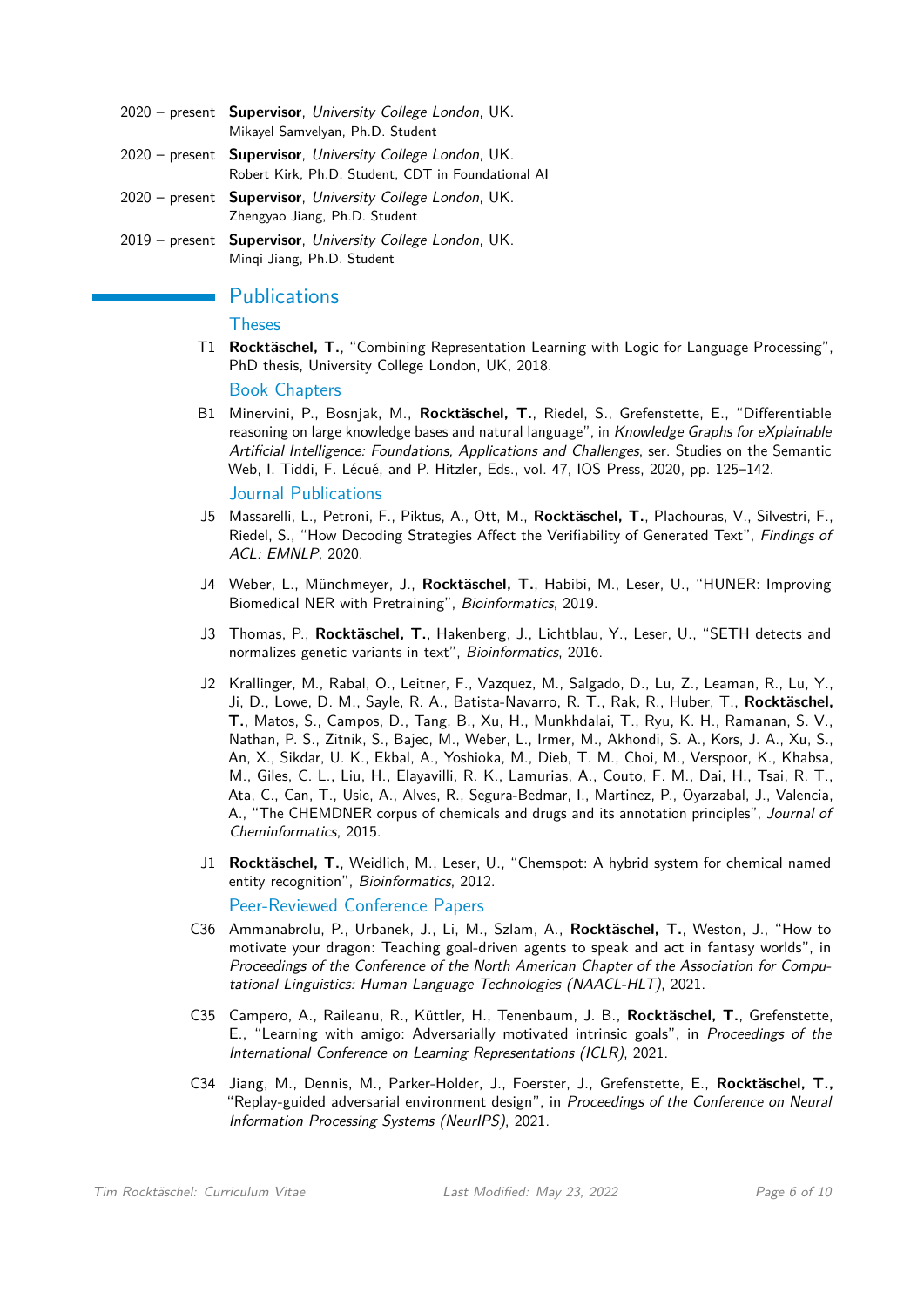- 2020 present **Supervisor**, University College London, UK. Mikayel Samvelyan, Ph.D. Student
- 2020 present **Supervisor**, University College London, UK. Robert Kirk, Ph.D. Student, CDT in Foundational AI
- 2020 present **Supervisor**, University College London, UK. Zhengyao Jiang, Ph.D. Student
- 2019 present **Supervisor**, University College London, UK. Minqi Jiang, Ph.D. Student

# **Publications**

#### **Theses**

T1 **Rocktäschel, T.**, "Combining Representation Learning with Logic for Language Processing", PhD thesis, University College London, UK, 2018.

Book Chapters

- B1 Minervini, P., Bosnjak, M., **Rocktäschel, T.**, Riedel, S., Grefenstette, E., "Differentiable reasoning on large knowledge bases and natural language", in Knowledge Graphs for eXplainable Artificial Intelligence: Foundations, Applications and Challenges, ser. Studies on the Semantic Web, I. Tiddi, F. Lécué, and P. Hitzler, Eds., vol. 47, IOS Press, 2020, pp. 125–142. Journal Publications
- J5 Massarelli, L., Petroni, F., Piktus, A., Ott, M., **Rocktäschel, T.**, Plachouras, V., Silvestri, F., Riedel, S., "How Decoding Strategies Affect the Verifiability of Generated Text", Findings of ACL: EMNLP, 2020.
- J4 Weber, L., Münchmeyer, J., **Rocktäschel, T.**, Habibi, M., Leser, U., "HUNER: Improving Biomedical NER with Pretraining", Bioinformatics, 2019.
- J3 Thomas, P., **Rocktäschel, T.**, Hakenberg, J., Lichtblau, Y., Leser, U., "SETH detects and normalizes genetic variants in text", Bioinformatics, 2016.
- J2 Krallinger, M., Rabal, O., Leitner, F., Vazquez, M., Salgado, D., Lu, Z., Leaman, R., Lu, Y., Ji, D., Lowe, D. M., Sayle, R. A., Batista-Navarro, R. T., Rak, R., Huber, T., **Rocktäschel, T.**, Matos, S., Campos, D., Tang, B., Xu, H., Munkhdalai, T., Ryu, K. H., Ramanan, S. V., Nathan, P. S., Zitnik, S., Bajec, M., Weber, L., Irmer, M., Akhondi, S. A., Kors, J. A., Xu, S., An, X., Sikdar, U. K., Ekbal, A., Yoshioka, M., Dieb, T. M., Choi, M., Verspoor, K., Khabsa, M., Giles, C. L., Liu, H., Elayavilli, R. K., Lamurias, A., Couto, F. M., Dai, H., Tsai, R. T., Ata, C., Can, T., Usie, A., Alves, R., Segura-Bedmar, I., Martinez, P., Oyarzabal, J., Valencia, A., "The CHEMDNER corpus of chemicals and drugs and its annotation principles", Journal of Cheminformatics, 2015.
- J1 **Rocktäschel, T.**, Weidlich, M., Leser, U., "Chemspot: A hybrid system for chemical named entity recognition", Bioinformatics, 2012.

Peer-Reviewed Conference Papers

- C36 Ammanabrolu, P., Urbanek, J., Li, M., Szlam, A., **Rocktäschel, T.**, Weston, J., "How to motivate your dragon: Teaching goal-driven agents to speak and act in fantasy worlds", in Proceedings of the Conference of the North American Chapter of the Association for Computational Linguistics: Human Language Technologies (NAACL-HLT), 2021.
- C35 Campero, A., Raileanu, R., Küttler, H., Tenenbaum, J. B., **Rocktäschel, T.**, Grefenstette, E., "Learning with amigo: Adversarially motivated intrinsic goals", in Proceedings of the International Conference on Learning Representations (ICLR), 2021.
- C34 Jiang, M., Dennis, M., Parker-Holder, J., Foerster, J., Grefenstette, E., **Rocktäschel, T.,** "Replay-guided adversarial environment design", in Proceedings of the Conference on Neural Information Processing Systems (NeurIPS), 2021.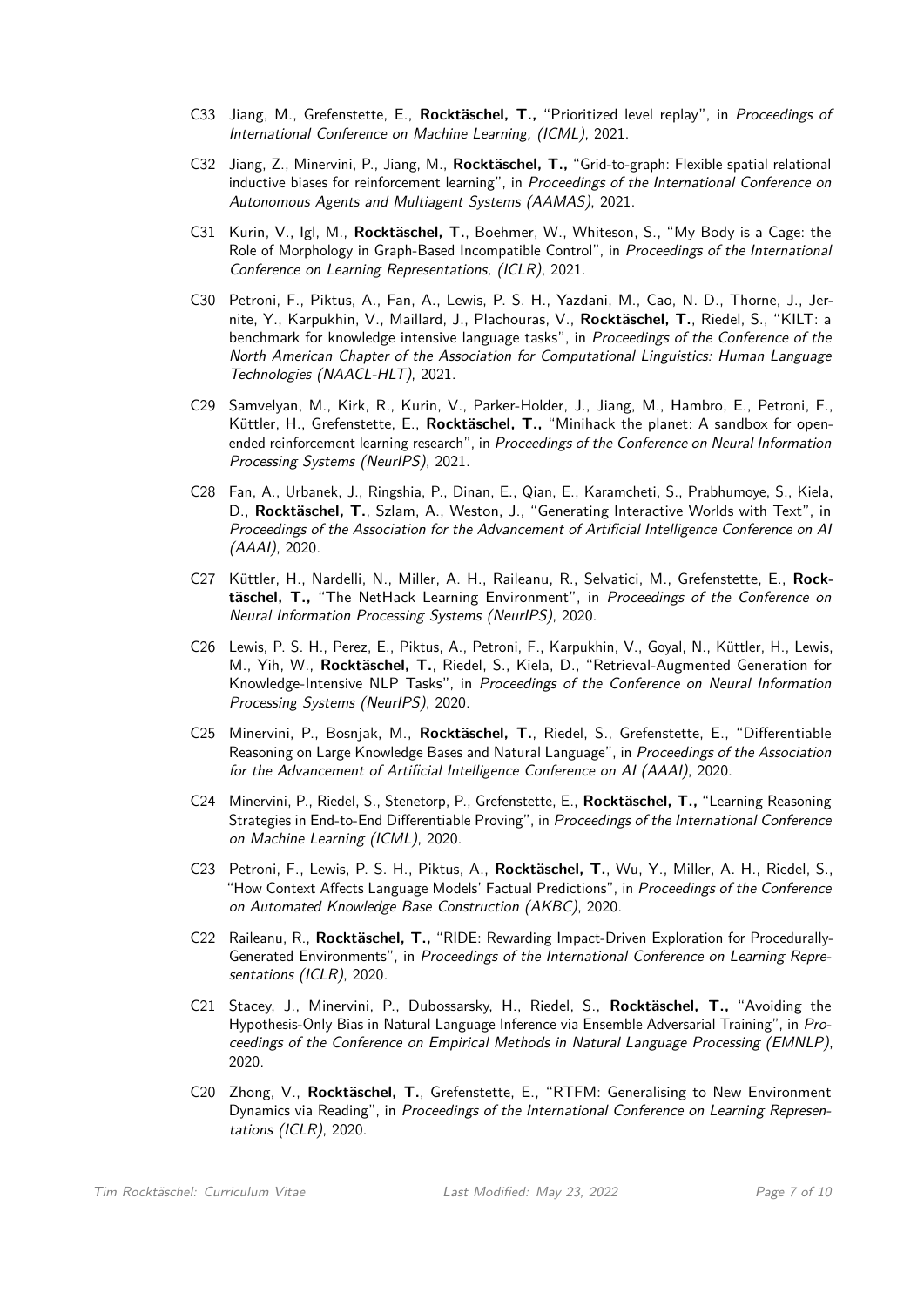- C33 Jiang, M., Grefenstette, E., **Rocktäschel, T.,** "Prioritized level replay", in Proceedings of International Conference on Machine Learning, (ICML), 2021.
- C32 Jiang, Z., Minervini, P., Jiang, M., **Rocktäschel, T.,** "Grid-to-graph: Flexible spatial relational inductive biases for reinforcement learning", in Proceedings of the International Conference on Autonomous Agents and Multiagent Systems (AAMAS), 2021.
- C31 Kurin, V., Igl, M., **Rocktäschel, T.**, Boehmer, W., Whiteson, S., "My Body is a Cage: the Role of Morphology in Graph-Based Incompatible Control", in Proceedings of the International Conference on Learning Representations, (ICLR), 2021.
- C30 Petroni, F., Piktus, A., Fan, A., Lewis, P. S. H., Yazdani, M., Cao, N. D., Thorne, J., Jernite, Y., Karpukhin, V., Maillard, J., Plachouras, V., **Rocktäschel, T.**, Riedel, S., "KILT: a benchmark for knowledge intensive language tasks", in Proceedings of the Conference of the North American Chapter of the Association for Computational Linguistics: Human Language Technologies (NAACL-HLT), 2021.
- C29 Samvelyan, M., Kirk, R., Kurin, V., Parker-Holder, J., Jiang, M., Hambro, E., Petroni, F., Küttler, H., Grefenstette, E., **Rocktäschel, T.,** "Minihack the planet: A sandbox for openended reinforcement learning research", in Proceedings of the Conference on Neural Information Processing Systems (NeurIPS), 2021.
- C28 Fan, A., Urbanek, J., Ringshia, P., Dinan, E., Qian, E., Karamcheti, S., Prabhumoye, S., Kiela, D., **Rocktäschel, T.**, Szlam, A., Weston, J., "Generating Interactive Worlds with Text", in Proceedings of the Association for the Advancement of Artificial Intelligence Conference on AI (AAAI), 2020.
- C27 Küttler, H., Nardelli, N., Miller, A. H., Raileanu, R., Selvatici, M., Grefenstette, E., **Rocktäschel, T.,** "The NetHack Learning Environment", in Proceedings of the Conference on Neural Information Processing Systems (NeurIPS), 2020.
- C26 Lewis, P. S. H., Perez, E., Piktus, A., Petroni, F., Karpukhin, V., Goyal, N., Küttler, H., Lewis, M., Yih, W., **Rocktäschel, T.**, Riedel, S., Kiela, D., "Retrieval-Augmented Generation for Knowledge-Intensive NLP Tasks", in Proceedings of the Conference on Neural Information Processing Systems (NeurIPS), 2020.
- C25 Minervini, P., Bosnjak, M., **Rocktäschel, T.**, Riedel, S., Grefenstette, E., "Differentiable Reasoning on Large Knowledge Bases and Natural Language", in Proceedings of the Association for the Advancement of Artificial Intelligence Conference on AI (AAAI), 2020.
- C24 Minervini, P., Riedel, S., Stenetorp, P., Grefenstette, E., **Rocktäschel, T.,** "Learning Reasoning Strategies in End-to-End Differentiable Proving", in Proceedings of the International Conference on Machine Learning (ICML), 2020.
- C23 Petroni, F., Lewis, P. S. H., Piktus, A., **Rocktäschel, T.**, Wu, Y., Miller, A. H., Riedel, S., "How Context Affects Language Models' Factual Predictions", in Proceedings of the Conference on Automated Knowledge Base Construction (AKBC), 2020.
- C22 Raileanu, R., **Rocktäschel, T.,** "RIDE: Rewarding Impact-Driven Exploration for Procedurally-Generated Environments", in Proceedings of the International Conference on Learning Representations (ICLR), 2020.
- C21 Stacey, J., Minervini, P., Dubossarsky, H., Riedel, S., **Rocktäschel, T.,** "Avoiding the Hypothesis-Only Bias in Natural Language Inference via Ensemble Adversarial Training", in Proceedings of the Conference on Empirical Methods in Natural Language Processing (EMNLP), 2020.
- C20 Zhong, V., **Rocktäschel, T.**, Grefenstette, E., "RTFM: Generalising to New Environment Dynamics via Reading", in Proceedings of the International Conference on Learning Representations (ICLR), 2020.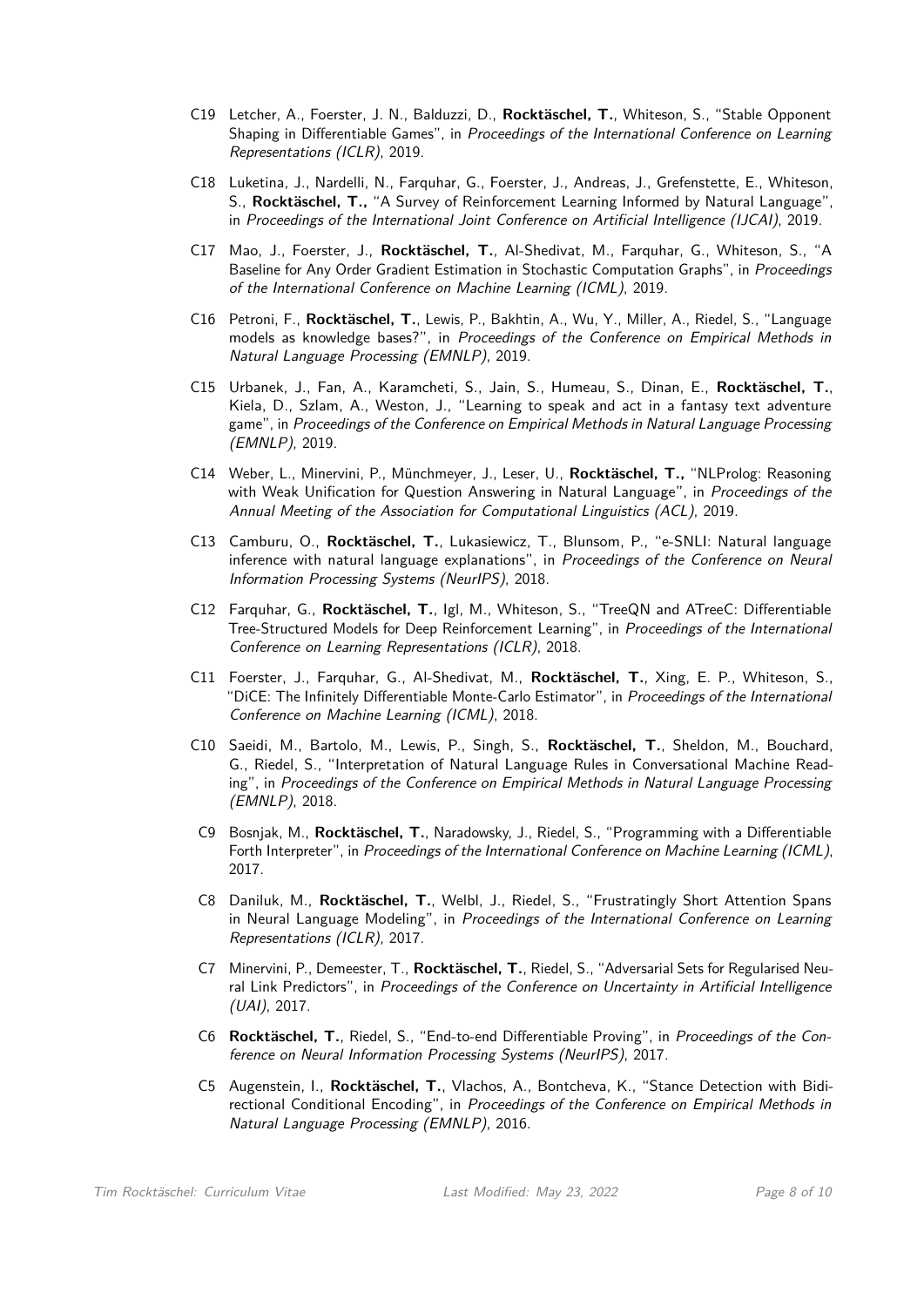- C19 Letcher, A., Foerster, J. N., Balduzzi, D., **Rocktäschel, T.**, Whiteson, S., "Stable Opponent Shaping in Differentiable Games", in Proceedings of the International Conference on Learning Representations (ICLR), 2019.
- C18 Luketina, J., Nardelli, N., Farquhar, G., Foerster, J., Andreas, J., Grefenstette, E., Whiteson, S., **Rocktäschel, T.,** "A Survey of Reinforcement Learning Informed by Natural Language", in Proceedings of the International Joint Conference on Artificial Intelligence (IJCAI), 2019.
- C17 Mao, J., Foerster, J., **Rocktäschel, T.**, Al-Shedivat, M., Farquhar, G., Whiteson, S., "A Baseline for Any Order Gradient Estimation in Stochastic Computation Graphs", in Proceedings of the International Conference on Machine Learning (ICML), 2019.
- C16 Petroni, F., **Rocktäschel, T.**, Lewis, P., Bakhtin, A., Wu, Y., Miller, A., Riedel, S., "Language models as knowledge bases?", in Proceedings of the Conference on Empirical Methods in Natural Language Processing (EMNLP), 2019.
- C15 Urbanek, J., Fan, A., Karamcheti, S., Jain, S., Humeau, S., Dinan, E., **Rocktäschel, T.**, Kiela, D., Szlam, A., Weston, J., "Learning to speak and act in a fantasy text adventure game", in Proceedings of the Conference on Empirical Methods in Natural Language Processing (EMNLP), 2019.
- C14 Weber, L., Minervini, P., Münchmeyer, J., Leser, U., **Rocktäschel, T.,** "NLProlog: Reasoning with Weak Unification for Question Answering in Natural Language", in Proceedings of the Annual Meeting of the Association for Computational Linguistics (ACL), 2019.
- C13 Camburu, O., **Rocktäschel, T.**, Lukasiewicz, T., Blunsom, P., "e-SNLI: Natural language inference with natural language explanations", in Proceedings of the Conference on Neural Information Processing Systems (NeurIPS), 2018.
- C12 Farquhar, G., **Rocktäschel, T.**, Igl, M., Whiteson, S., "TreeQN and ATreeC: Differentiable Tree-Structured Models for Deep Reinforcement Learning", in Proceedings of the International Conference on Learning Representations (ICLR), 2018.
- C11 Foerster, J., Farquhar, G., Al-Shedivat, M., **Rocktäschel, T.**, Xing, E. P., Whiteson, S., "DiCE: The Infinitely Differentiable Monte-Carlo Estimator", in Proceedings of the International Conference on Machine Learning (ICML), 2018.
- C10 Saeidi, M., Bartolo, M., Lewis, P., Singh, S., **Rocktäschel, T.**, Sheldon, M., Bouchard, G., Riedel, S., "Interpretation of Natural Language Rules in Conversational Machine Reading", in Proceedings of the Conference on Empirical Methods in Natural Language Processing (EMNLP), 2018.
- C9 Bosnjak, M., **Rocktäschel, T.**, Naradowsky, J., Riedel, S., "Programming with a Differentiable Forth Interpreter", in Proceedings of the International Conference on Machine Learning (ICML), 2017.
- C8 Daniluk, M., **Rocktäschel, T.**, Welbl, J., Riedel, S., "Frustratingly Short Attention Spans in Neural Language Modeling", in Proceedings of the International Conference on Learning Representations (ICLR), 2017.
- C7 Minervini, P., Demeester, T., **Rocktäschel, T.**, Riedel, S., "Adversarial Sets for Regularised Neural Link Predictors", in Proceedings of the Conference on Uncertainty in Artificial Intelligence (UAI), 2017.
- C6 **Rocktäschel, T.**, Riedel, S., "End-to-end Differentiable Proving", in Proceedings of the Conference on Neural Information Processing Systems (NeurIPS), 2017.
- C5 Augenstein, I., **Rocktäschel, T.**, Vlachos, A., Bontcheva, K., "Stance Detection with Bidirectional Conditional Encoding", in Proceedings of the Conference on Empirical Methods in Natural Language Processing (EMNLP), 2016.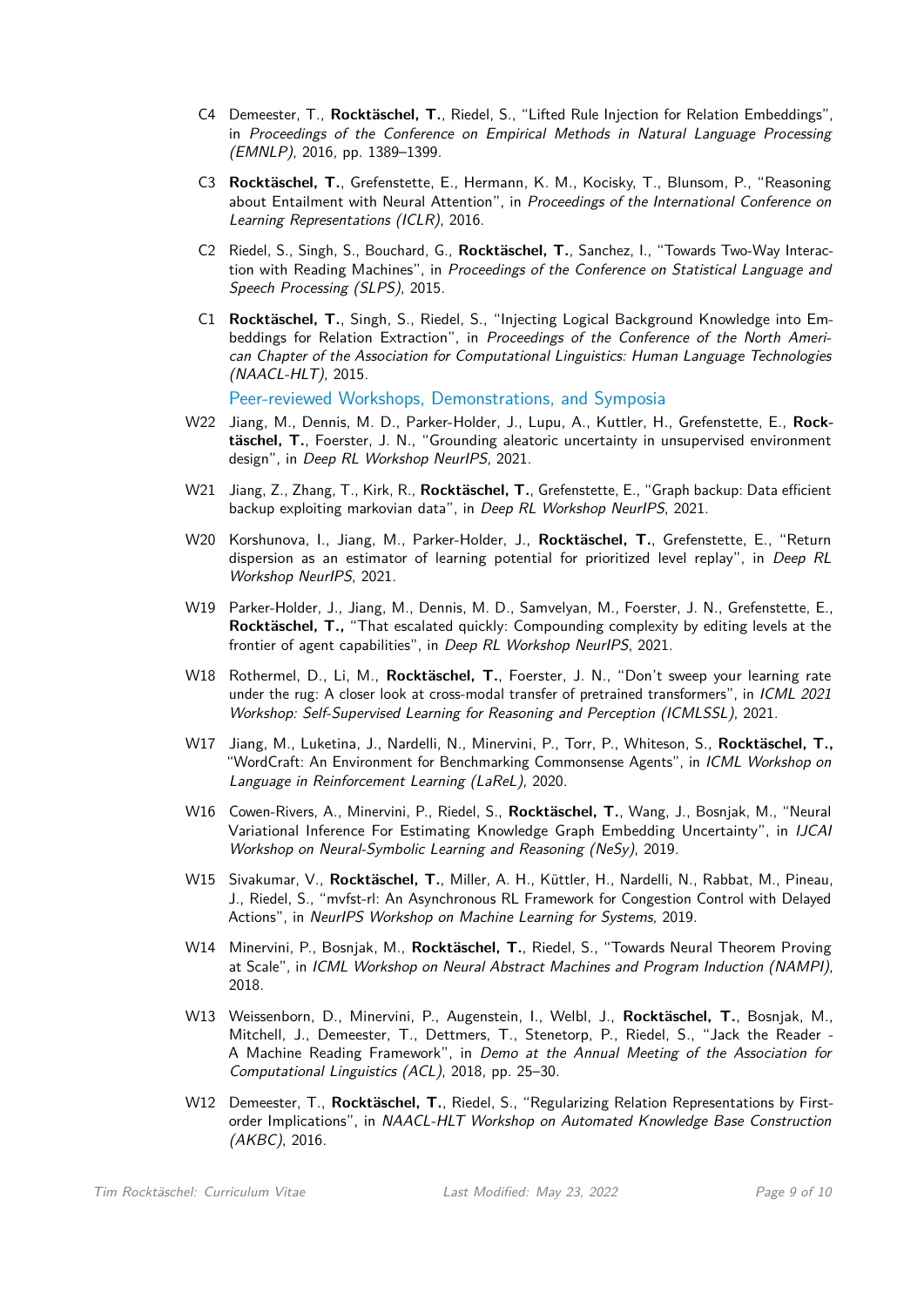- C4 Demeester, T., **Rocktäschel, T.**, Riedel, S., "Lifted Rule Injection for Relation Embeddings", in Proceedings of the Conference on Empirical Methods in Natural Language Processing (EMNLP), 2016, pp. 1389–1399.
- C3 **Rocktäschel, T.**, Grefenstette, E., Hermann, K. M., Kocisky, T., Blunsom, P., "Reasoning about Entailment with Neural Attention", in Proceedings of the International Conference on Learning Representations (ICLR), 2016.
- C2 Riedel, S., Singh, S., Bouchard, G., **Rocktäschel, T.**, Sanchez, I., "Towards Two-Way Interaction with Reading Machines", in Proceedings of the Conference on Statistical Language and Speech Processing (SLPS), 2015.
- C1 **Rocktäschel, T.**, Singh, S., Riedel, S., "Injecting Logical Background Knowledge into Embeddings for Relation Extraction", in Proceedings of the Conference of the North American Chapter of the Association for Computational Linguistics: Human Language Technologies (NAACL-HLT), 2015.

Peer-reviewed Workshops, Demonstrations, and Symposia

- W22 Jiang, M., Dennis, M. D., Parker-Holder, J., Lupu, A., Kuttler, H., Grefenstette, E., **Rocktäschel, T.**, Foerster, J. N., "Grounding aleatoric uncertainty in unsupervised environment design", in Deep RL Workshop NeurIPS, 2021.
- W21 Jiang, Z., Zhang, T., Kirk, R., **Rocktäschel, T.**, Grefenstette, E., "Graph backup: Data efficient backup exploiting markovian data", in Deep RL Workshop NeurIPS, 2021.
- W20 Korshunova, I., Jiang, M., Parker-Holder, J., **Rocktäschel, T.**, Grefenstette, E., "Return dispersion as an estimator of learning potential for prioritized level replay", in Deep RL Workshop NeurIPS, 2021.
- W19 Parker-Holder, J., Jiang, M., Dennis, M. D., Samvelyan, M., Foerster, J. N., Grefenstette, E., **Rocktäschel, T.,** "That escalated quickly: Compounding complexity by editing levels at the frontier of agent capabilities", in Deep RL Workshop NeurIPS, 2021.
- W18 Rothermel, D., Li, M., **Rocktäschel, T.**, Foerster, J. N., "Don't sweep your learning rate under the rug: A closer look at cross-modal transfer of pretrained transformers", in ICML 2021 Workshop: Self-Supervised Learning for Reasoning and Perception (ICMLSSL), 2021.
- W17 Jiang, M., Luketina, J., Nardelli, N., Minervini, P., Torr, P., Whiteson, S., **Rocktäschel, T.,** "WordCraft: An Environment for Benchmarking Commonsense Agents", in ICML Workshop on Language in Reinforcement Learning (LaReL), 2020.
- W16 Cowen-Rivers, A., Minervini, P., Riedel, S., **Rocktäschel, T.**, Wang, J., Bosnjak, M., "Neural Variational Inference For Estimating Knowledge Graph Embedding Uncertainty", in IJCAI Workshop on Neural-Symbolic Learning and Reasoning (NeSy), 2019.
- W15 Sivakumar, V., **Rocktäschel, T.**, Miller, A. H., Küttler, H., Nardelli, N., Rabbat, M., Pineau, J., Riedel, S., "mvfst-rl: An Asynchronous RL Framework for Congestion Control with Delayed Actions", in NeurIPS Workshop on Machine Learning for Systems, 2019.
- W14 Minervini, P., Bosnjak, M., **Rocktäschel, T.**, Riedel, S., "Towards Neural Theorem Proving at Scale", in ICML Workshop on Neural Abstract Machines and Program Induction (NAMPI), 2018.
- W13 Weissenborn, D., Minervini, P., Augenstein, I., Welbl, J., **Rocktäschel, T.**, Bosnjak, M., Mitchell, J., Demeester, T., Dettmers, T., Stenetorp, P., Riedel, S., "Jack the Reader - A Machine Reading Framework", in Demo at the Annual Meeting of the Association for Computational Linguistics (ACL), 2018, pp. 25–30.
- W12 Demeester, T., **Rocktäschel, T.**, Riedel, S., "Regularizing Relation Representations by Firstorder Implications", in NAACL-HLT Workshop on Automated Knowledge Base Construction (AKBC), 2016.